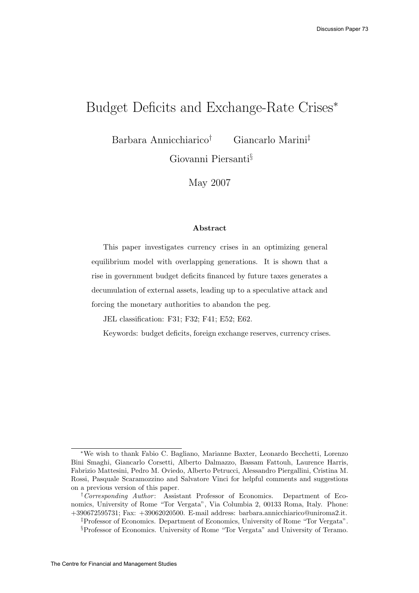# Budget Deficits and Exchange-Rate Crises<sup>\*</sup>

Barbara Annicchiarico† Giancarlo Marini‡

Giovanni Piersanti§

May 2007

#### Abstract

This paper investigates currency crises in an optimizing general equilibrium model with overlapping generations. It is shown that a rise in government budget deficits financed by future taxes generates a decumulation of external assets, leading up to a speculative attack and forcing the monetary authorities to abandon the peg.

JEL classification: F31; F32; F41; E52; E62.

Keywords: budget deficits, foreign exchange reserves, currency crises.

<sup>∗</sup>We wish to thank Fabio C. Bagliano, Marianne Baxter, Leonardo Becchetti, Lorenzo Bini Smaghi, Giancarlo Corsetti, Alberto Dalmazzo, Bassam Fattouh, Laurence Harris, Fabrizio Mattesini, Pedro M. Oviedo, Alberto Petrucci, Alessandro Piergallini, Cristina M. Rossi, Pasquale Scaramozzino and Salvatore Vinci for helpful comments and suggestions on a previous version of this paper.

<sup>&</sup>lt;sup>†</sup>Corresponding Author: Assistant Professor of Economics. Department of Economics, University of Rome "Tor Vergata", Via Columbia 2, 00133 Roma, Italy. Phone: +390672595731; Fax: +39062020500. E-mail address: barbara.annicchiarico@uniroma2.it.

<sup>‡</sup>Professor of Economics. Department of Economics, University of Rome "Tor Vergata".

<sup>§</sup>Professor of Economics. University of Rome "Tor Vergata" and University of Teramo.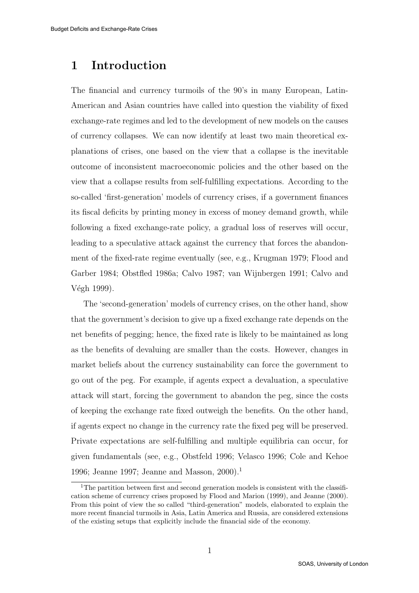## 1 Introduction

The financial and currency turmoils of the 90's in many European, Latin-American and Asian countries have called into question the viability of fixed exchange-rate regimes and led to the development of new models on the causes of currency collapses. We can now identify at least two main theoretical explanations of crises, one based on the view that a collapse is the inevitable outcome of inconsistent macroeconomic policies and the other based on the view that a collapse results from self-fulfilling expectations. According to the so-called 'first-generation' models of currency crises, if a government finances its fiscal deficits by printing money in excess of money demand growth, while following a fixed exchange-rate policy, a gradual loss of reserves will occur, leading to a speculative attack against the currency that forces the abandonment of the fixed-rate regime eventually (see, e.g., Krugman 1979; Flood and Garber 1984; Obstfled 1986a; Calvo 1987; van Wijnbergen 1991; Calvo and Végh 1999).

The 'second-generation' models of currency crises, on the other hand, show that the government's decision to give up a fixed exchange rate depends on the net benefits of pegging; hence, the fixed rate is likely to be maintained as long as the benefits of devaluing are smaller than the costs. However, changes in market beliefs about the currency sustainability can force the government to go out of the peg. For example, if agents expect a devaluation, a speculative attack will start, forcing the government to abandon the peg, since the costs of keeping the exchange rate fixed outweigh the benefits. On the other hand, if agents expect no change in the currency rate the fixed peg will be preserved. Private expectations are self-fulfilling and multiple equilibria can occur, for given fundamentals (see, e.g., Obstfeld 1996; Velasco 1996; Cole and Kehoe 1996; Jeanne 1997; Jeanne and Masson, 2000).<sup>1</sup>

<sup>&</sup>lt;sup>1</sup>The partition between first and second generation models is consistent with the classification scheme of currency crises proposed by Flood and Marion (1999), and Jeanne (2000). From this point of view the so called "third-generation" models, elaborated to explain the more recent financial turmoils in Asia, Latin America and Russia, are considered extensions of the existing setups that explicitly include the financial side of the economy.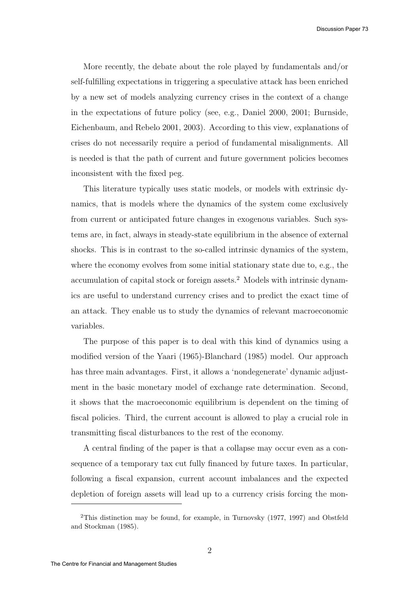Discussion Paper 73

More recently, the debate about the role played by fundamentals and/or self-fulfilling expectations in triggering a speculative attack has been enriched by a new set of models analyzing currency crises in the context of a change in the expectations of future policy (see, e.g., Daniel 2000, 2001; Burnside, Eichenbaum, and Rebelo 2001, 2003). According to this view, explanations of crises do not necessarily require a period of fundamental misalignments. All is needed is that the path of current and future government policies becomes inconsistent with the fixed peg.

This literature typically uses static models, or models with extrinsic dynamics, that is models where the dynamics of the system come exclusively from current or anticipated future changes in exogenous variables. Such systems are, in fact, always in steady-state equilibrium in the absence of external shocks. This is in contrast to the so-called intrinsic dynamics of the system, where the economy evolves from some initial stationary state due to, e.g., the accumulation of capital stock or foreign assets.<sup>2</sup> Models with intrinsic dynamics are useful to understand currency crises and to predict the exact time of an attack. They enable us to study the dynamics of relevant macroeconomic variables.

The purpose of this paper is to deal with this kind of dynamics using a modified version of the Yaari (1965)-Blanchard (1985) model. Our approach has three main advantages. First, it allows a 'nondegenerate' dynamic adjustment in the basic monetary model of exchange rate determination. Second, it shows that the macroeconomic equilibrium is dependent on the timing of fiscal policies. Third, the current account is allowed to play a crucial role in transmitting fiscal disturbances to the rest of the economy.

A central finding of the paper is that a collapse may occur even as a consequence of a temporary tax cut fully financed by future taxes. In particular, following a fiscal expansion, current account imbalances and the expected depletion of foreign assets will lead up to a currency crisis forcing the mon-

<sup>2</sup>This distinction may be found, for example, in Turnovsky (1977, 1997) and Obstfeld and Stockman (1985).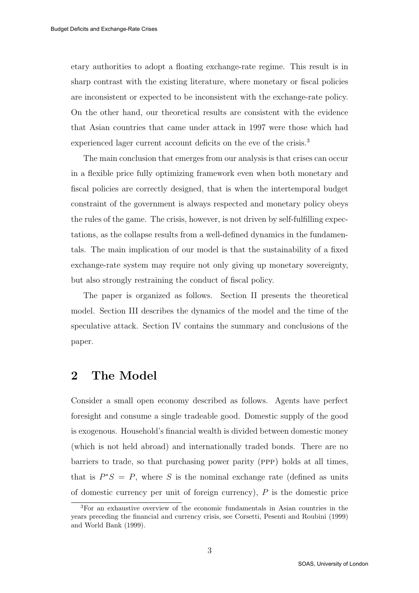etary authorities to adopt a floating exchange-rate regime. This result is in sharp contrast with the existing literature, where monetary or fiscal policies are inconsistent or expected to be inconsistent with the exchange-rate policy. On the other hand, our theoretical results are consistent with the evidence that Asian countries that came under attack in 1997 were those which had experienced lager current account deficits on the eve of the crisis.<sup>3</sup>

The main conclusion that emerges from our analysis is that crises can occur in a flexible price fully optimizing framework even when both monetary and fiscal policies are correctly designed, that is when the intertemporal budget constraint of the government is always respected and monetary policy obeys the rules of the game. The crisis, however, is not driven by self-fulfilling expectations, as the collapse results from a well-defined dynamics in the fundamentals. The main implication of our model is that the sustainability of a fixed exchange-rate system may require not only giving up monetary sovereignty, but also strongly restraining the conduct of fiscal policy.

The paper is organized as follows. Section II presents the theoretical model. Section III describes the dynamics of the model and the time of the speculative attack. Section IV contains the summary and conclusions of the paper.

## 2 The Model

Consider a small open economy described as follows. Agents have perfect foresight and consume a single tradeable good. Domestic supply of the good is exogenous. Household's financial wealth is divided between domestic money (which is not held abroad) and internationally traded bonds. There are no barriers to trade, so that purchasing power parity (ppp) holds at all times, that is  $P^*S = P$ , where S is the nominal exchange rate (defined as units of domestic currency per unit of foreign currency),  $P$  is the domestic price

<sup>3</sup>For an exhaustive overview of the economic fundamentals in Asian countries in the years preceding the financial and currency crisis, see Corsetti, Pesenti and Roubini (1999) and World Bank (1999).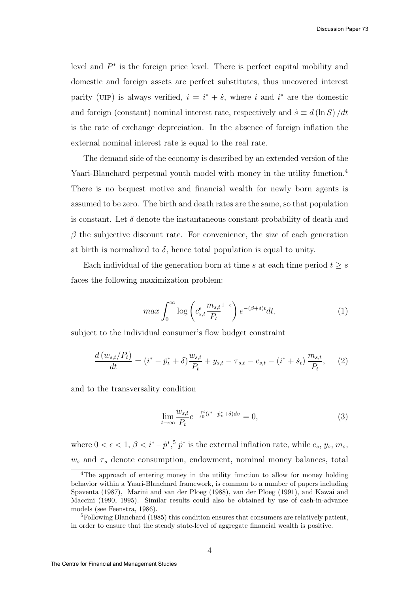level and  $P^*$  is the foreign price level. There is perfect capital mobility and domestic and foreign assets are perfect substitutes, thus uncovered interest parity (UIP) is always verified,  $i = i^* + \dot{s}$ , where i and  $i^*$  are the domestic and foreign (constant) nominal interest rate, respectively and  $\dot{s} \equiv d(\ln S)/dt$ is the rate of exchange depreciation. In the absence of foreign inflation the external nominal interest rate is equal to the real rate.

The demand side of the economy is described by an extended version of the Yaari-Blanchard perpetual youth model with money in the utility function.<sup>4</sup> There is no bequest motive and financial wealth for newly born agents is assumed to be zero. The birth and death rates are the same, so that population is constant. Let  $\delta$  denote the instantaneous constant probability of death and  $\beta$  the subjective discount rate. For convenience, the size of each generation at birth is normalized to  $\delta$ , hence total population is equal to unity.

Each individual of the generation born at time s at each time period  $t \geq s$ faces the following maximization problem:

$$
\max \int_0^\infty \log \left( c_{s,t}^\epsilon \frac{m_{s,t}}{P_t}^{1-\epsilon} \right) e^{-(\beta+\delta)t} dt,\tag{1}
$$

subject to the individual consumer's flow budget constraint

$$
\frac{d(w_{s,t}/P_t)}{dt} = (i^* - \dot{p}_t^* + \delta)\frac{w_{s,t}}{P_t} + y_{s,t} - \tau_{s,t} - c_{s,t} - (i^* + \dot{s}_t)\frac{m_{s,t}}{P_t},\qquad(2)
$$

and to the transversality condition

$$
\lim_{t \to \infty} \frac{w_{s,t}}{P_t} e^{-\int_0^t (i^* - p_v^* + \delta) dv} = 0,
$$
\n(3)

where  $0 < \epsilon < 1$ ,  $\beta < i^* - \dot{p}^*,$ <sup>5</sup>  $\dot{p}^*$  is the external inflation rate, while  $c_s$ ,  $y_s$ ,  $m_s$ ,  $w_s$  and  $\tau_s$  denote consumption, endowment, nominal money balances, total

<sup>4</sup>The approach of entering money in the utility function to allow for money holding behavior within a Yaari-Blanchard framework, is common to a number of papers including Spaventa (1987), Marini and van der Ploeg (1988), van der Ploeg (1991), and Kawai and Maccini (1990, 1995). Similar results could also be obtained by use of cash-in-advance models (see Feenstra, 1986).

 ${}^{5}$ Following Blanchard (1985) this condition ensures that consumers are relatively patient, in order to ensure that the steady state-level of aggregate financial wealth is positive.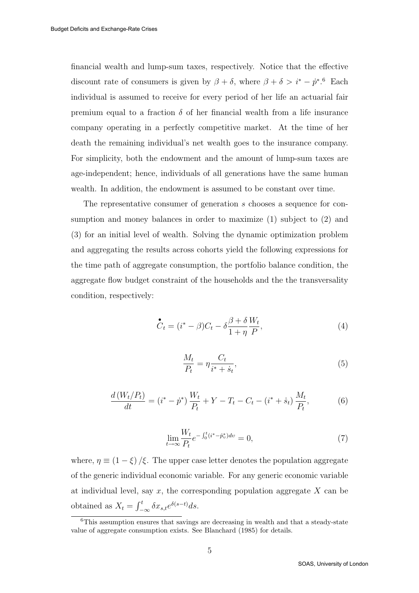financial wealth and lump-sum taxes, respectively. Notice that the effective discount rate of consumers is given by  $\beta + \delta$ , where  $\beta + \delta > i^* - \dot{p}^*$ .<sup>6</sup> Each individual is assumed to receive for every period of her life an actuarial fair premium equal to a fraction  $\delta$  of her financial wealth from a life insurance company operating in a perfectly competitive market. At the time of her death the remaining individual's net wealth goes to the insurance company. For simplicity, both the endowment and the amount of lump-sum taxes are age-independent; hence, individuals of all generations have the same human wealth. In addition, the endowment is assumed to be constant over time.

The representative consumer of generation s chooses a sequence for consumption and money balances in order to maximize (1) subject to (2) and (3) for an initial level of wealth. Solving the dynamic optimization problem and aggregating the results across cohorts yield the following expressions for the time path of aggregate consumption, the portfolio balance condition, the aggregate flow budget constraint of the households and the the transversality condition, respectively:

$$
\mathcal{C}_t = (i^* - \beta)C_t - \delta \frac{\beta + \delta}{1 + \eta} \frac{W_t}{P},\tag{4}
$$

$$
\frac{M_t}{P_t} = \eta \frac{C_t}{i^* + \dot{s}_t},\tag{5}
$$

$$
\frac{d\left(W_t/P_t\right)}{dt} = \left(i^* - \dot{p}^*\right)\frac{W_t}{P_t} + Y - T_t - C_t - \left(i^* + \dot{s}_t\right)\frac{M_t}{P_t},\tag{6}
$$

$$
\lim_{t \to \infty} \frac{W_t}{P_t} e^{-\int_0^t (i^* - \dot{p}_v^*) dv} = 0,
$$
\n(7)

where,  $\eta \equiv (1 - \xi)/\xi$ . The upper case letter denotes the population aggregate of the generic individual economic variable. For any generic economic variable at individual level, say  $x$ , the corresponding population aggregate  $X$  can be obtained as  $X_t = \int_{-\infty}^t \delta x_{s,t} e^{\delta(s-t)} ds$ .

 $6$ This assumption ensures that savings are decreasing in wealth and that a steady-state value of aggregate consumption exists. See Blanchard (1985) for details.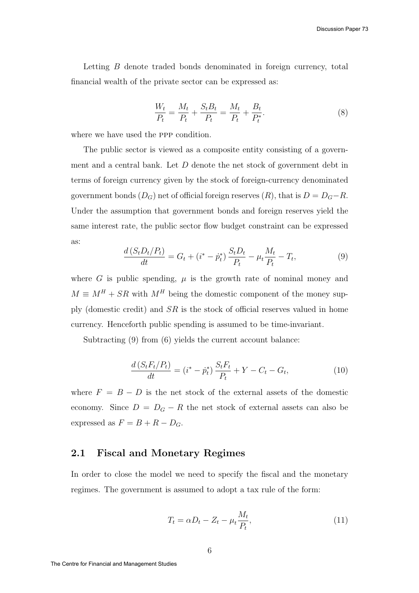Letting B denote traded bonds denominated in foreign currency, total financial wealth of the private sector can be expressed as:

$$
\frac{W_t}{P_t} = \frac{M_t}{P_t} + \frac{S_t B_t}{P_t} = \frac{M_t}{P_t} + \frac{B_t}{P_t^*}.
$$
\n(8)

where we have used the ppp condition.

The public sector is viewed as a composite entity consisting of a government and a central bank. Let D denote the net stock of government debt in terms of foreign currency given by the stock of foreign-currency denominated government bonds  $(D_G)$  net of official foreign reserves  $(R)$ , that is  $D = D_G - R$ . Under the assumption that government bonds and foreign reserves yield the same interest rate, the public sector flow budget constraint can be expressed as:

$$
\frac{d\left(S_{t}D_{t}/P_{t}\right)}{dt}=G_{t}+(i^{*}-\dot{p}_{t}^{*})\frac{S_{t}D_{t}}{P_{t}}-\mu_{t}\frac{M_{t}}{P_{t}}-T_{t},
$$
\n(9)

where G is public spending,  $\mu$  is the growth rate of nominal money and  $M \equiv M^H + SR$  with  $M^H$  being the domestic component of the money supply (domestic credit) and  $SR$  is the stock of official reserves valued in home currency. Henceforth public spending is assumed to be time-invariant.

Subtracting  $(9)$  from  $(6)$  yields the current account balance:

$$
\frac{d\left(S_t F_t/P_t\right)}{dt} = \left(i^* - \dot{p}_t^*\right) \frac{S_t F_t}{P_t} + Y - C_t - G_t,\tag{10}
$$

where  $F = B - D$  is the net stock of the external assets of the domestic economy. Since  $D = D_G - R$  the net stock of external assets can also be expressed as  $F = B + R - D_G$ .

### 2.1 Fiscal and Monetary Regimes

In order to close the model we need to specify the fiscal and the monetary regimes. The government is assumed to adopt a tax rule of the form:

$$
T_t = \alpha D_t - Z_t - \mu_t \frac{M_t}{P_t},\tag{11}
$$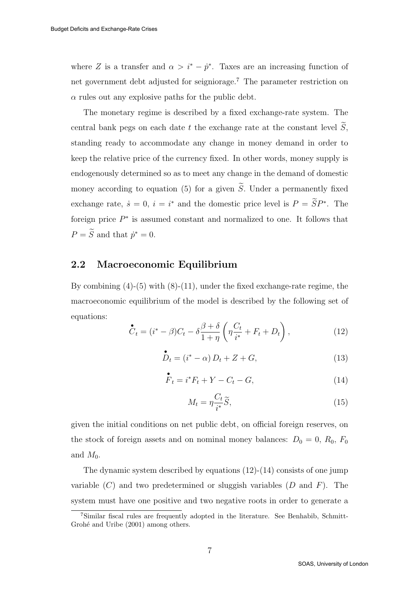where Z is a transfer and  $\alpha > i^* - \dot{p}^*$ . Taxes are an increasing function of net government debt adjusted for seigniorage.<sup>7</sup> The parameter restriction on  $\alpha$  rules out any explosive paths for the public debt.

The monetary regime is described by a fixed exchange-rate system. The central bank pegs on each date t the exchange rate at the constant level  $\tilde{S}$ , standing ready to accommodate any change in money demand in order to keep the relative price of the currency fixed. In other words, money supply is endogenously determined so as to meet any change in the demand of domestic money according to equation (5) for a given  $\widetilde{S}$ . Under a permanently fixed exchange rate,  $\dot{s} = 0$ ,  $i = i^*$  and the domestic price level is  $P = \tilde{S}P^*$ . The foreign price  $P^*$  is assumed constant and normalized to one. It follows that  $P = \widetilde{S}$  and that  $\dot{p}^* = 0$ .

#### 2.2 Macroeconomic Equilibrium

By combining  $(4)-(5)$  with  $(8)-(11)$ , under the fixed exchange-rate regime, the macroeconomic equilibrium of the model is described by the following set of equations:

$$
\mathcal{C}_t = (i^* - \beta)C_t - \delta \frac{\beta + \delta}{1 + \eta} \left( \eta \frac{C_t}{i^*} + F_t + D_t \right), \qquad (12)
$$

$$
\stackrel{\bullet}{D}_t = (i^* - \alpha) D_t + Z + G,\tag{13}
$$

$$
\overset{\bullet}{F}_t = i^* F_t + Y - C_t - G,\tag{14}
$$

$$
M_t = \eta \frac{C_t}{i^*} \widetilde{S},\tag{15}
$$

given the initial conditions on net public debt, on official foreign reserves, on the stock of foreign assets and on nominal money balances:  $D_0 = 0, R_0, F_0$ and  $M_0$ .

The dynamic system described by equations  $(12)-(14)$  consists of one jump variable  $(C)$  and two predetermined or sluggish variables  $(D \text{ and } F)$ . The system must have one positive and two negative roots in order to generate a

<sup>7</sup>Similar fiscal rules are frequently adopted in the literature. See Benhabib, Schmitt-Grohé and Uribe (2001) among others.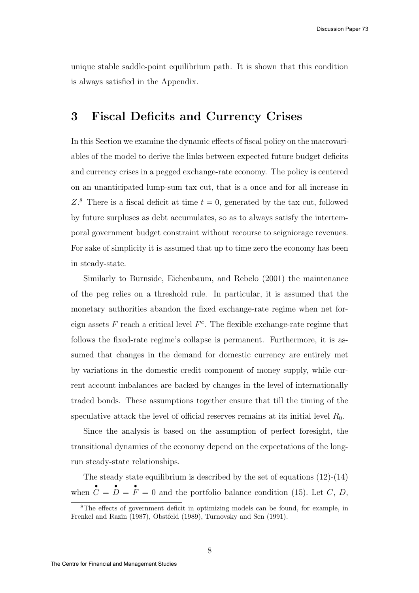unique stable saddle-point equilibrium path. It is shown that this condition is always satisfied in the Appendix.

### 3 Fiscal Deficits and Currency Crises

In this Section we examine the dynamic effects of fiscal policy on the macrovariables of the model to derive the links between expected future budget deficits and currency crises in a pegged exchange-rate economy. The policy is centered on an unanticipated lump-sum tax cut, that is a once and for all increase in  $Z^8$ . There is a fiscal deficit at time  $t = 0$ , generated by the tax cut, followed by future surpluses as debt accumulates, so as to always satisfy the intertemporal government budget constraint without recourse to seigniorage revenues. For sake of simplicity it is assumed that up to time zero the economy has been in steady-state.

Similarly to Burnside, Eichenbaum, and Rebelo (2001) the maintenance of the peg relies on a threshold rule. In particular, it is assumed that the monetary authorities abandon the fixed exchange-rate regime when net foreign assets  $F$  reach a critical level  $F<sup>c</sup>$ . The flexible exchange-rate regime that follows the fixed-rate regime's collapse is permanent. Furthermore, it is assumed that changes in the demand for domestic currency are entirely met by variations in the domestic credit component of money supply, while current account imbalances are backed by changes in the level of internationally traded bonds. These assumptions together ensure that till the timing of the speculative attack the level of official reserves remains at its initial level  $R_0$ .

Since the analysis is based on the assumption of perfect foresight, the transitional dynamics of the economy depend on the expectations of the longrun steady-state relationships.

The steady state equilibrium is described by the set of equations (12)-(14) when •  $C =$ •  $D =$ •  $F = 0$  and the portfolio balance condition (15). Let C, D,

<sup>8</sup>The effects of government deficit in optimizing models can be found, for example, in Frenkel and Razin (1987), Obstfeld (1989), Turnovsky and Sen (1991).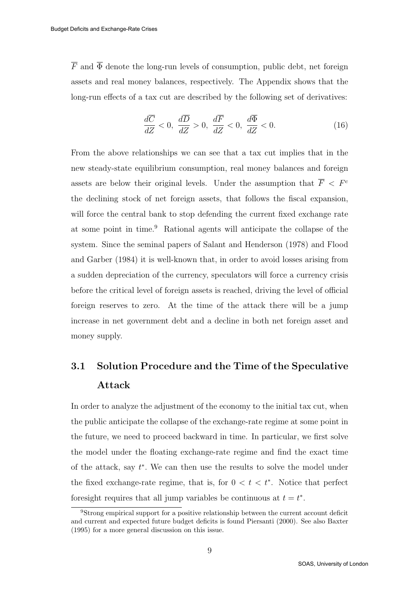$\overline{F}$  and  $\overline{\Phi}$  denote the long-run levels of consumption, public debt, net foreign assets and real money balances, respectively. The Appendix shows that the long-run effects of a tax cut are described by the following set of derivatives:

$$
\frac{d\overline{C}}{dZ} < 0, \ \frac{d\overline{D}}{dZ} > 0, \ \frac{d\overline{F}}{dZ} < 0, \ \frac{d\overline{\Phi}}{dZ} < 0. \tag{16}
$$

From the above relationships we can see that a tax cut implies that in the new steady-state equilibrium consumption, real money balances and foreign assets are below their original levels. Under the assumption that  $\overline{F} < F^c$ the declining stock of net foreign assets, that follows the fiscal expansion, will force the central bank to stop defending the current fixed exchange rate at some point in time.<sup>9</sup> Rational agents will anticipate the collapse of the system. Since the seminal papers of Salant and Henderson (1978) and Flood and Garber (1984) it is well-known that, in order to avoid losses arising from a sudden depreciation of the currency, speculators will force a currency crisis before the critical level of foreign assets is reached, driving the level of official foreign reserves to zero. At the time of the attack there will be a jump increase in net government debt and a decline in both net foreign asset and money supply.

# 3.1 Solution Procedure and the Time of the Speculative Attack

In order to analyze the adjustment of the economy to the initial tax cut, when the public anticipate the collapse of the exchange-rate regime at some point in the future, we need to proceed backward in time. In particular, we first solve the model under the floating exchange-rate regime and find the exact time of the attack, say  $t^*$ . We can then use the results to solve the model under the fixed exchange-rate regime, that is, for  $0 < t < t^*$ . Notice that perfect foresight requires that all jump variables be continuous at  $t = t^*$ .

<sup>9</sup>Strong empirical support for a positive relationship between the current account deficit and current and expected future budget deficits is found Piersanti (2000). See also Baxter (1995) for a more general discussion on this issue.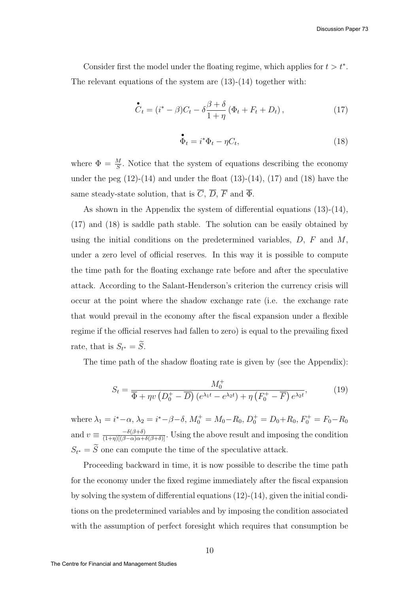Consider first the model under the floating regime, which applies for  $t > t^*$ . The relevant equations of the system are  $(13)-(14)$  together with:

$$
\mathcal{\stackrel{\bullet}{C}}_{t} = (i^{*} - \beta)C_{t} - \delta \frac{\beta + \delta}{1 + \eta} (\Phi_{t} + F_{t} + D_{t}), \qquad (17)
$$

$$
\mathbf{\Phi}_t = i^* \Phi_t - \eta C_t,\tag{18}
$$

where  $\Phi = \frac{M}{S}$ . Notice that the system of equations describing the economy under the peg  $(12)-(14)$  and under the float  $(13)-(14)$ ,  $(17)$  and  $(18)$  have the same steady-state solution, that is  $\overline{C}$ ,  $\overline{D}$ ,  $\overline{F}$  and  $\overline{\Phi}$ .

As shown in the Appendix the system of differential equations (13)-(14), (17) and (18) is saddle path stable. The solution can be easily obtained by using the initial conditions on the predetermined variables,  $D$ ,  $F$  and  $M$ , under a zero level of official reserves. In this way it is possible to compute the time path for the floating exchange rate before and after the speculative attack. According to the Salant-Henderson's criterion the currency crisis will occur at the point where the shadow exchange rate (i.e. the exchange rate that would prevail in the economy after the fiscal expansion under a flexible regime if the official reserves had fallen to zero) is equal to the prevailing fixed rate, that is  $S_{t^*} = S$ .

The time path of the shadow floating rate is given by (see the Appendix):

$$
S_t = \frac{M_0^+}{\overline{\Phi} + \eta v \left(D_0^+ - \overline{D}\right) \left(e^{\lambda_1 t} - e^{\lambda_2 t}\right) + \eta \left(F_0^+ - \overline{F}\right) e^{\lambda_2 t}},\tag{19}
$$

where  $\lambda_1 = i^* - \alpha$ ,  $\lambda_2 = i^* - \beta - \delta$ ,  $M_0^+ = M_0 - R_0$ ,  $D_0^+ = D_0 + R_0$ ,  $F_0^+ = F_0 - R_0$ and  $v \equiv \frac{-\delta(\beta+\delta)}{(1+\eta)[(\beta-\alpha)\alpha+\delta(\beta+\delta)]}$ . Using the above result and imposing the condition  $S_{t^*} = S$  one can compute the time of the speculative attack.

Proceeding backward in time, it is now possible to describe the time path for the economy under the fixed regime immediately after the fiscal expansion by solving the system of differential equations (12)-(14), given the initial conditions on the predetermined variables and by imposing the condition associated with the assumption of perfect foresight which requires that consumption be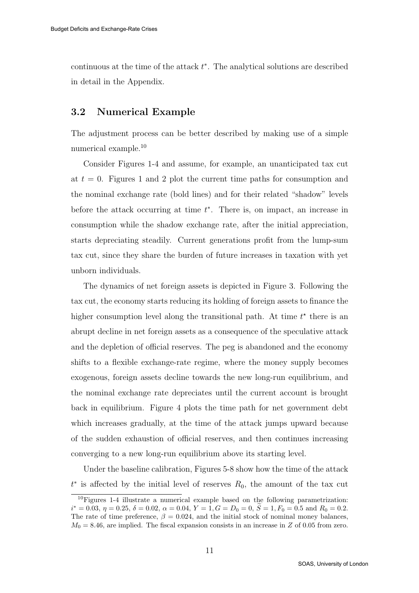continuous at the time of the attack  $t^*$ . The analytical solutions are described in detail in the Appendix.

#### 3.2 Numerical Example

The adjustment process can be better described by making use of a simple numerical example.<sup>10</sup>

Consider Figures 1-4 and assume, for example, an unanticipated tax cut at  $t = 0$ . Figures 1 and 2 plot the current time paths for consumption and the nominal exchange rate (bold lines) and for their related "shadow" levels before the attack occurring at time  $t^*$ . There is, on impact, an increase in consumption while the shadow exchange rate, after the initial appreciation, starts depreciating steadily. Current generations profit from the lump-sum tax cut, since they share the burden of future increases in taxation with yet unborn individuals.

The dynamics of net foreign assets is depicted in Figure 3. Following the tax cut, the economy starts reducing its holding of foreign assets to finance the higher consumption level along the transitional path. At time  $t^*$  there is an abrupt decline in net foreign assets as a consequence of the speculative attack and the depletion of official reserves. The peg is abandoned and the economy shifts to a flexible exchange-rate regime, where the money supply becomes exogenous, foreign assets decline towards the new long-run equilibrium, and the nominal exchange rate depreciates until the current account is brought back in equilibrium. Figure 4 plots the time path for net government debt which increases gradually, at the time of the attack jumps upward because of the sudden exhaustion of official reserves, and then continues increasing converging to a new long-run equilibrium above its starting level.

Under the baseline calibration, Figures 5-8 show how the time of the attack  $t^*$  is affected by the initial level of reserves  $R_0$ , the amount of the tax cut

<sup>10</sup>Figures 1-4 illustrate a numerical example based on the following parametrization:  $i^* = 0.03, \eta = 0.25, \delta = 0.02, \alpha = 0.04, Y = 1, G = D_0 = 0, \tilde{S} = 1, F_0 = 0.5 \text{ and } R_0 = 0.2.$ The rate of time preference,  $\beta = 0.024$ , and the initial stock of nominal money balances,  $M_0 = 8.46$ , are implied. The fiscal expansion consists in an increase in Z of 0.05 from zero.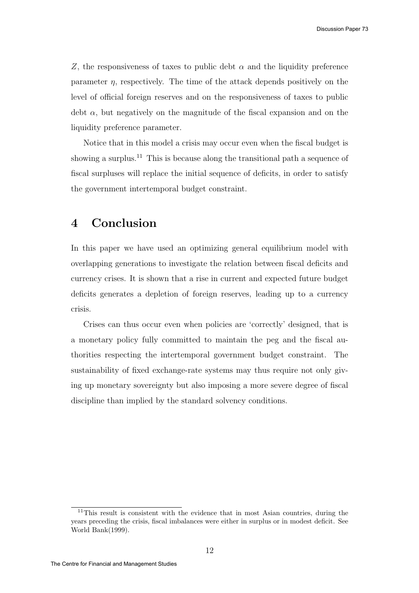Z, the responsiveness of taxes to public debt  $\alpha$  and the liquidity preference parameter η, respectively. The time of the attack depends positively on the level of official foreign reserves and on the responsiveness of taxes to public debt  $\alpha$ , but negatively on the magnitude of the fiscal expansion and on the liquidity preference parameter.

Notice that in this model a crisis may occur even when the fiscal budget is showing a surplus.<sup>11</sup> This is because along the transitional path a sequence of fiscal surpluses will replace the initial sequence of deficits, in order to satisfy the government intertemporal budget constraint.

## 4 Conclusion

In this paper we have used an optimizing general equilibrium model with overlapping generations to investigate the relation between fiscal deficits and currency crises. It is shown that a rise in current and expected future budget deficits generates a depletion of foreign reserves, leading up to a currency crisis.

Crises can thus occur even when policies are 'correctly' designed, that is a monetary policy fully committed to maintain the peg and the fiscal authorities respecting the intertemporal government budget constraint. The sustainability of fixed exchange-rate systems may thus require not only giving up monetary sovereignty but also imposing a more severe degree of fiscal discipline than implied by the standard solvency conditions.

<sup>&</sup>lt;sup>11</sup>This result is consistent with the evidence that in most Asian countries, during the years preceding the crisis, fiscal imbalances were either in surplus or in modest deficit. See World Bank(1999).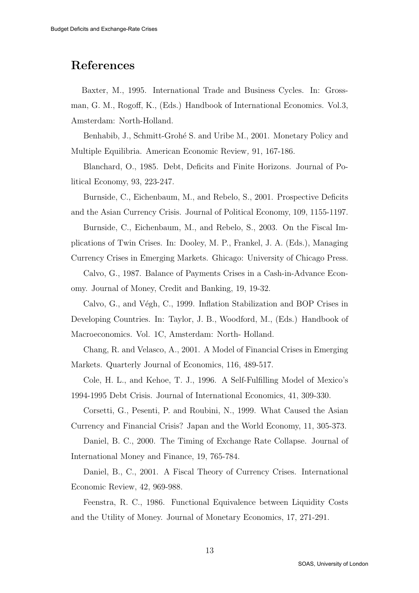## References

Baxter, M., 1995. International Trade and Business Cycles. In: Grossman, G. M., Rogoff, K., (Eds.) Handbook of International Economics. Vol.3, Amsterdam: North-Holland.

Benhabib, J., Schmitt-Grohé S. and Uribe M., 2001. Monetary Policy and Multiple Equilibria. American Economic Review, 91, 167-186.

Blanchard, O., 1985. Debt, Deficits and Finite Horizons. Journal of Political Economy, 93, 223-247.

Burnside, C., Eichenbaum, M., and Rebelo, S., 2001. Prospective Deficits and the Asian Currency Crisis. Journal of Political Economy, 109, 1155-1197.

Burnside, C., Eichenbaum, M., and Rebelo, S., 2003. On the Fiscal Implications of Twin Crises. In: Dooley, M. P., Frankel, J. A. (Eds.), Managing Currency Crises in Emerging Markets. Ghicago: University of Chicago Press.

Calvo, G., 1987. Balance of Payments Crises in a Cash-in-Advance Economy. Journal of Money, Credit and Banking, 19, 19-32.

Calvo, G., and Végh, C., 1999. Inflation Stabilization and BOP Crises in Developing Countries. In: Taylor, J. B., Woodford, M., (Eds.) Handbook of Macroeconomics. Vol. 1C, Amsterdam: North- Holland.

Chang, R. and Velasco, A., 2001. A Model of Financial Crises in Emerging Markets. Quarterly Journal of Economics, 116, 489-517.

Cole, H. L., and Kehoe, T. J., 1996. A Self-Fulfilling Model of Mexico's 1994-1995 Debt Crisis. Journal of International Economics, 41, 309-330.

Corsetti, G., Pesenti, P. and Roubini, N., 1999. What Caused the Asian Currency and Financial Crisis? Japan and the World Economy, 11, 305-373.

Daniel, B. C., 2000. The Timing of Exchange Rate Collapse. Journal of International Money and Finance, 19, 765-784.

Daniel, B., C., 2001. A Fiscal Theory of Currency Crises. International Economic Review, 42, 969-988.

Feenstra, R. C., 1986. Functional Equivalence between Liquidity Costs and the Utility of Money. Journal of Monetary Economics, 17, 271-291.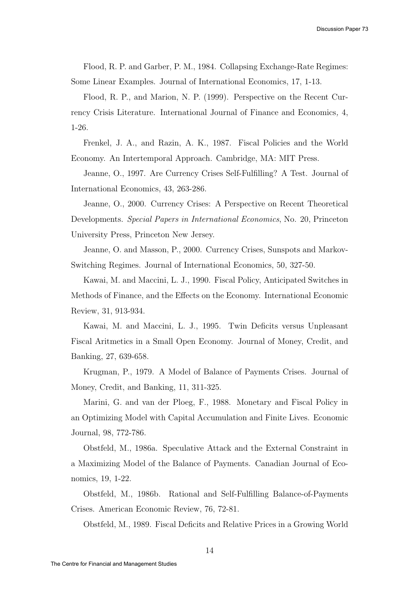Flood, R. P. and Garber, P. M., 1984. Collapsing Exchange-Rate Regimes: Some Linear Examples. Journal of International Economics, 17, 1-13.

Flood, R. P., and Marion, N. P. (1999). Perspective on the Recent Currency Crisis Literature. International Journal of Finance and Economics, 4, 1-26.

Frenkel, J. A., and Razin, A. K., 1987. Fiscal Policies and the World Economy. An Intertemporal Approach. Cambridge, MA: MIT Press.

Jeanne, O., 1997. Are Currency Crises Self-Fulfilling? A Test. Journal of International Economics, 43, 263-286.

Jeanne, O., 2000. Currency Crises: A Perspective on Recent Theoretical Developments. Special Papers in International Economics, No. 20, Princeton University Press, Princeton New Jersey.

Jeanne, O. and Masson, P., 2000. Currency Crises, Sunspots and Markov-Switching Regimes. Journal of International Economics, 50, 327-50.

Kawai, M. and Maccini, L. J., 1990. Fiscal Policy, Anticipated Switches in Methods of Finance, and the Effects on the Economy. International Economic Review, 31, 913-934.

Kawai, M. and Maccini, L. J., 1995. Twin Deficits versus Unpleasant Fiscal Aritmetics in a Small Open Economy. Journal of Money, Credit, and Banking, 27, 639-658.

Krugman, P., 1979. A Model of Balance of Payments Crises. Journal of Money, Credit, and Banking, 11, 311-325.

Marini, G. and van der Ploeg, F., 1988. Monetary and Fiscal Policy in an Optimizing Model with Capital Accumulation and Finite Lives. Economic Journal, 98, 772-786.

Obstfeld, M., 1986a. Speculative Attack and the External Constraint in a Maximizing Model of the Balance of Payments. Canadian Journal of Economics, 19, 1-22.

Obstfeld, M., 1986b. Rational and Self-Fulfilling Balance-of-Payments Crises. American Economic Review, 76, 72-81.

Obstfeld, M., 1989. Fiscal Deficits and Relative Prices in a Growing World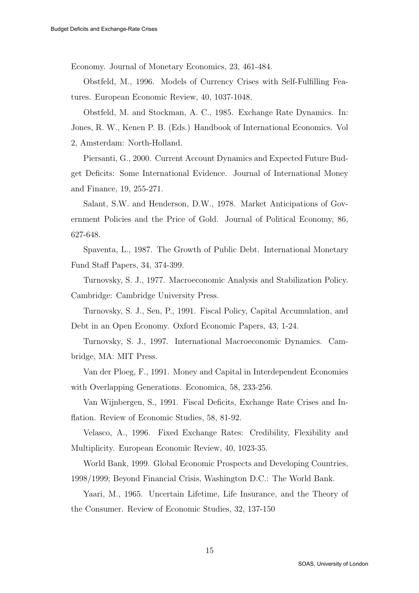Economy. Journal of Monetary Economics, 23, 461-484.

Obstfeld, M., 1996. Models of Currency Crises with Self-Fulfilling Features. European Economic Review, 40, 1037-1048.

Obstfeld, M. and Stockman, A. C., 1985. Exchange Rate Dynamics. In: Jones, R. W., Kenen P. B. (Eds.) Handbook of International Economics. Vol 2, Amsterdam: North-Holland.

Piersanti, G., 2000. Current Account Dynamics and Expected Future Budget Deficits: Some International Evidence. Journal of International Money and Finance, 19, 255-271.

Salant, S.W. and Henderson, D.W., 1978. Market Anticipations of Government Policies and the Price of Gold. Journal of Political Economy, 86, 627-648.

Spaventa, L., 1987. The Growth of Public Debt. International Monetary Fund Staff Papers, 34, 374-399.

Turnovsky, S. J., 1977. Macroeconomic Analysis and Stabilization Policy. Cambridge: Cambridge University Press.

Turnovsky, S. J., Sen, P., 1991. Fiscal Policy, Capital Accumulation, and Debt in an Open Economy. Oxford Economic Papers, 43, 1-24.

Turnovsky, S. J., 1997. International Macroeconomic Dynamics. Cambridge, MA: MIT Press.

Van der Ploeg, F., 1991. Money and Capital in Interdependent Economies with Overlapping Generations. Economica, 58, 233-256.

Van Wijnbergen, S., 1991. Fiscal Deficits, Exchange Rate Crises and Inflation. Review of Economic Studies, 58, 81-92.

Velasco, A., 1996. Fixed Exchange Rates: Credibility, Flexibility and Multiplicity. European Economic Review, 40, 1023-35.

World Bank, 1999. Global Economic Prospects and Developing Countries, 1998/1999; Beyond Financial Crisis, Washington D.C.: The World Bank.

Yaari, M., 1965. Uncertain Lifetime, Life Insurance, and the Theory of the Consumer. Review of Economic Studies, 32, 137-150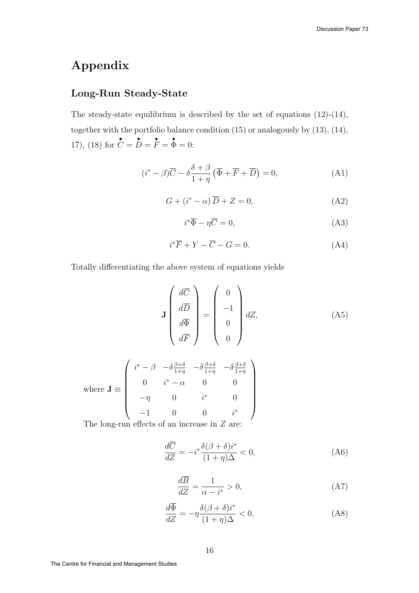# Appendix

### Long-Run Steady-State

The steady-state equilibrium is described by the set of equations (12)-(14), together with the portfolio balance condition (15) or analogously by (13), (14), 17), (18) for •  $C =$ •  $D =$ •  $F =$ •  $\Phi = 0$ :

$$
(i^* - \beta)\overline{C} - \delta \frac{\delta + \beta}{1 + \eta} (\overline{\Phi} + \overline{F} + \overline{D}) = 0,
$$
 (A1)

$$
G + (i^* - \alpha) \overline{D} + Z = 0,\tag{A2}
$$

$$
i^*\overline{\Phi} - \eta \overline{C} = 0,\tag{A3}
$$

$$
i^*\overline{F} + Y - \overline{C} - G = 0. \tag{A4}
$$

Totally differentiating the above system of equations yields

$$
\mathbf{J} \begin{pmatrix} d\overline{C} \\ d\overline{D} \\ d\overline{\Phi} \\ d\overline{F} \end{pmatrix} = \begin{pmatrix} 0 \\ -1 \\ 0 \\ 0 \end{pmatrix} dZ, \tag{A5}
$$

where 
$$
\mathbf{J} \equiv \begin{pmatrix} i^* - \beta & -\delta \frac{\beta + \delta}{1 + \eta} & -\delta \frac{\beta + \delta}{1 + \eta} & -\delta \frac{\beta + \delta}{1 + \eta} \\ 0 & i^* - \alpha & 0 & 0 \\ -\eta & 0 & i^* & 0 \\ -1 & 0 & 0 & i^* \end{pmatrix}
$$

The long-run effects of an increase in Z are:

$$
\frac{d\overline{C}}{dZ} = -i^* \frac{\delta(\beta + \delta)i^*}{(1 + \eta)\Delta} < 0,\tag{A6}
$$

$$
\frac{d\overline{B}}{dZ} = \frac{1}{\alpha - i^*} > 0,\tag{A7}
$$

$$
\frac{d\overline{\Phi}}{dZ} = -\eta \frac{\delta(\beta + \delta)i^*}{(1 + \eta)\Delta} < 0,\tag{A8}
$$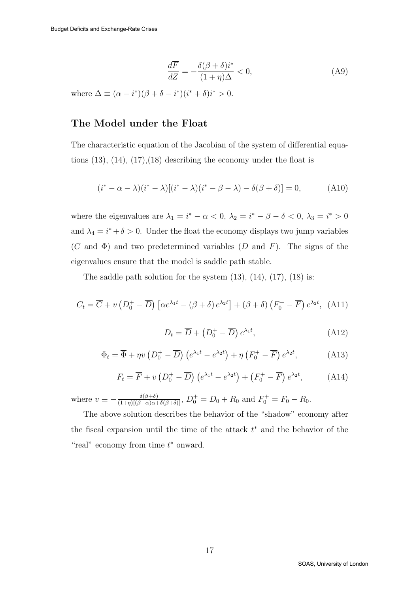$$
\frac{d\overline{F}}{dZ} = -\frac{\delta(\beta + \delta)i^*}{(1 + \eta)\Delta} < 0,\tag{A9}
$$

where  $\Delta \equiv (\alpha - i^*)(\beta + \delta - i^*)(i^* + \delta)i^* > 0$ .

### The Model under the Float

The characteristic equation of the Jacobian of the system of differential equations  $(13)$ ,  $(14)$ ,  $(17)$ ,  $(18)$  describing the economy under the float is

$$
(i^* - \alpha - \lambda)(i^* - \lambda)[(i^* - \lambda)(i^* - \beta - \lambda) - \delta(\beta + \delta)] = 0,
$$
 (A10)

where the eigenvalues are  $\lambda_1 = i^* - \alpha < 0$ ,  $\lambda_2 = i^* - \beta - \delta < 0$ ,  $\lambda_3 = i^* > 0$ and  $\lambda_4 = i^* + \delta > 0$ . Under the float the economy displays two jump variables  $(C \text{ and } \Phi)$  and two predetermined variables  $(D \text{ and } F)$ . The signs of the eigenvalues ensure that the model is saddle path stable.

The saddle path solution for the system  $(13)$ ,  $(14)$ ,  $(17)$ ,  $(18)$  is:

$$
C_t = \overline{C} + v \left( D_0^+ - \overline{D} \right) \left[ \alpha e^{\lambda_1 t} - \left( \beta + \delta \right) e^{\lambda_2 t} \right] + \left( \beta + \delta \right) \left( F_0^+ - \overline{F} \right) e^{\lambda_2 t}, \tag{A11}
$$

$$
D_t = \overline{D} + \left(D_0^+ - \overline{D}\right)e^{\lambda_1 t},\tag{A12}
$$

$$
\Phi_t = \overline{\Phi} + \eta v \left( D_0^+ - \overline{D} \right) \left( e^{\lambda_1 t} - e^{\lambda_2 t} \right) + \eta \left( F_0^+ - \overline{F} \right) e^{\lambda_2 t},\tag{A13}
$$

$$
F_t = \overline{F} + v \left( D_0^+ - \overline{D} \right) \left( e^{\lambda_1 t} - e^{\lambda_2 t} \right) + \left( F_0^+ - \overline{F} \right) e^{\lambda_2 t}, \tag{A14}
$$

where  $v \equiv -\frac{\delta(\beta+\delta)}{(1+\eta)[(\beta-\alpha)\alpha+\delta(\beta+\delta)]}$ ,  $D_0^+ = D_0 + R_0$  and  $F_0^+ = F_0 - R_0$ .

The above solution describes the behavior of the "shadow" economy after the fiscal expansion until the time of the attack  $t^*$  and the behavior of the "real" economy from time  $t^*$  onward.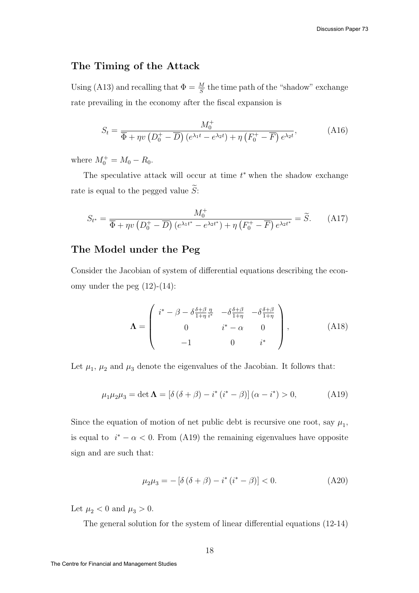### The Timing of the Attack

Using (A13) and recalling that  $\Phi = \frac{M}{S}$  the time path of the "shadow" exchange rate prevailing in the economy after the fiscal expansion is

$$
S_t = \frac{M_0^+}{\overline{\Phi} + \eta v \left(D_0^+ - \overline{D}\right) \left(e^{\lambda_1 t} - e^{\lambda_2 t}\right) + \eta \left(F_0^+ - \overline{F}\right) e^{\lambda_2 t}},\tag{A16}
$$

where  $M_0^+ = M_0 - R_0$ .

The speculative attack will occur at time  $t^*$  when the shadow exchange rate is equal to the pegged value  $\widetilde{S}$ :

$$
S_{t^*} = \frac{M_0^+}{\overline{\Phi} + \eta v \left(D_0^+ - \overline{D}\right) \left(e^{\lambda_1 t^*} - e^{\lambda_2 t^*}\right) + \eta \left(F_0^+ - \overline{F}\right) e^{\lambda_2 t^*}} = \widetilde{S}.
$$
 (A17)

### The Model under the Peg

Consider the Jacobian of system of differential equations describing the economy under the peg  $(12)-(14)$ :

$$
\Lambda = \begin{pmatrix} i^* - \beta - \delta \frac{\delta + \beta}{1 + \eta} \frac{\eta}{i^*} & -\delta \frac{\delta + \beta}{1 + \eta} & -\delta \frac{\delta + \beta}{1 + \eta} \\ 0 & i^* - \alpha & 0 \\ -1 & 0 & i^* \end{pmatrix},
$$
(A18)

Let  $\mu_1$ ,  $\mu_2$  and  $\mu_3$  denote the eigenvalues of the Jacobian. It follows that:

$$
\mu_1 \mu_2 \mu_3 = \det \mathbf{\Lambda} = [\delta (\delta + \beta) - i^* (i^* - \beta)] (\alpha - i^*) > 0,
$$
 (A19)

Since the equation of motion of net public debt is recursive one root, say  $\mu_1$ , is equal to  $i^* - \alpha < 0$ . From (A19) the remaining eigenvalues have opposite sign and are such that:

$$
\mu_2 \mu_3 = -\left[\delta\left(\delta + \beta\right) - i^*\left(i^* - \beta\right)\right] < 0. \tag{A20}
$$

Let  $\mu_2 < 0$  and  $\mu_3 > 0$ .

The general solution for the system of linear differential equations (12-14)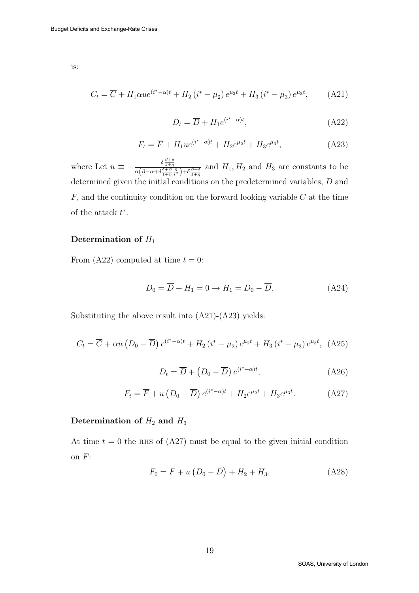is:

$$
C_{t} = \overline{C} + H_{1}\alpha u e^{(i^{*}-\alpha)t} + H_{2}(i^{*}-\mu_{2}) e^{\mu_{2}t} + H_{3}(i^{*}-\mu_{3}) e^{\mu_{3}t}, \qquad (A21)
$$

$$
D_t = \overline{D} + H_1 e^{(i^* - \alpha)t}, \tag{A22}
$$

$$
F_t = \overline{F} + H_1 u e^{(i^* - \alpha)t} + H_2 e^{\mu_2 t} + H_3 e^{\mu_3 t}, \tag{A23}
$$

where Let  $u \equiv -\frac{\delta \frac{\beta+\delta}{1+\eta}}{\alpha(\beta-\alpha+\delta \frac{\delta+\beta}{1+\eta} \frac{\eta}{i^*})+\delta \frac{\beta+\delta}{1+\eta}}$  and  $H_1, H_2$  and  $H_3$  are constants to be determined given the initial conditions on the predetermined variables, D and  $F$ , and the continuity condition on the forward looking variable  $C$  at the time of the attack  $t^*$ .

#### Determination of  $H_1$

From (A22) computed at time  $t = 0$ :

$$
D_0 = \overline{D} + H_1 = 0 \to H_1 = D_0 - \overline{D}.
$$
 (A24)

Substituting the above result into (A21)-(A23) yields:

$$
C_{t} = \overline{C} + \alpha u \left( D_{0} - \overline{D} \right) e^{(i^{*} - \alpha)t} + H_{2} \left( i^{*} - \mu_{2} \right) e^{\mu_{2} t} + H_{3} \left( i^{*} - \mu_{3} \right) e^{\mu_{3} t}, \text{ (A25)}
$$

$$
D_t = \overline{D} + (D_0 - \overline{D}) e^{(i^* - \alpha)t}, \qquad (A26)
$$

$$
F_t = \overline{F} + u\left(D_0 - \overline{D}\right)e^{(i^* - \alpha)t} + H_2 e^{\mu_2 t} + H_3 e^{\mu_3 t}.
$$
 (A27)

#### Determination of  $H_2$  and  $H_3$

At time  $t = 0$  the RHS of (A27) must be equal to the given initial condition on  $F$ :

$$
F_0 = \overline{F} + u\left(D_0 - \overline{D}\right) + H_2 + H_3. \tag{A28}
$$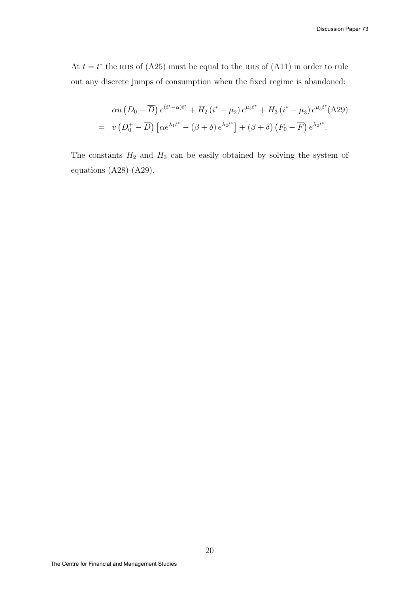At  $t = t^*$  the RHS of (A25) must be equal to the RHS of (A11) in order to rule out any discrete jumps of consumption when the fixed regime is abandoned:

$$
\alpha u (D_0 - \overline{D}) e^{(i^* - \alpha)t^*} + H_2 (i^* - \mu_2) e^{\mu_2 t^*} + H_3 (i^* - \mu_3) e^{\mu_3 t^*} (A29)
$$
  
=  $v (D_0^+ - \overline{D}) [\alpha e^{\lambda_1 t^*} - (\beta + \delta) e^{\lambda_2 t^*}] + (\beta + \delta) (F_0 - \overline{F}) e^{\lambda_2 t^*}.$ 

The constants  $H_2$  and  $H_3$  can be easily obtained by solving the system of equations (A28)-(A29).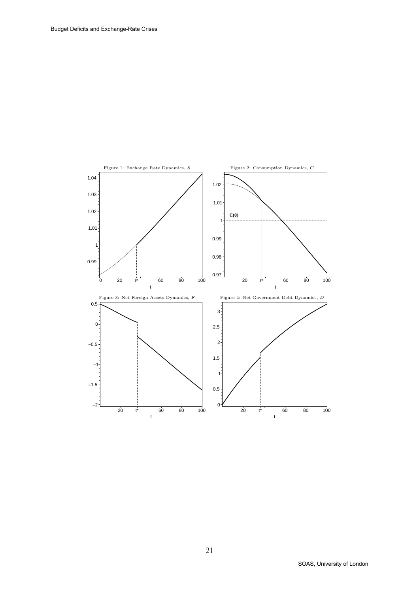